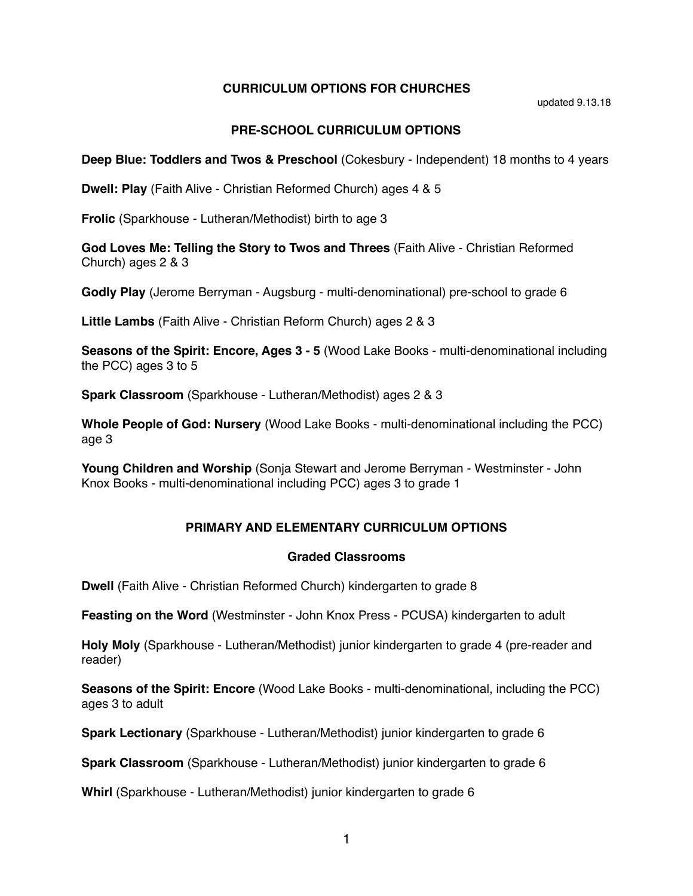### **CURRICULUM OPTIONS FOR CHURCHES**

updated 9.13.18

## **PRE-SCHOOL CURRICULUM OPTIONS**

**Deep Blue: Toddlers and Twos & Preschool** (Cokesbury - Independent) 18 months to 4 years

**Dwell: Play** (Faith Alive - Christian Reformed Church) ages 4 & 5

**Frolic** (Sparkhouse - Lutheran/Methodist) birth to age 3

**God Loves Me: Telling the Story to Twos and Threes** (Faith Alive - Christian Reformed Church) ages 2 & 3

**Godly Play** (Jerome Berryman - Augsburg - multi-denominational) pre-school to grade 6

**Little Lambs** (Faith Alive - Christian Reform Church) ages 2 & 3

**Seasons of the Spirit: Encore, Ages 3 - 5** (Wood Lake Books - multi-denominational including the PCC) ages 3 to 5

**Spark Classroom** (Sparkhouse - Lutheran/Methodist) ages 2 & 3

**Whole People of God: Nursery** (Wood Lake Books - multi-denominational including the PCC) age 3

**Young Children and Worship** (Sonja Stewart and Jerome Berryman - Westminster - John Knox Books - multi-denominational including PCC) ages 3 to grade 1

### **PRIMARY AND ELEMENTARY CURRICULUM OPTIONS**

#### **Graded Classrooms**

**Dwell** (Faith Alive - Christian Reformed Church) kindergarten to grade 8

**Feasting on the Word** (Westminster - John Knox Press - PCUSA) kindergarten to adult

**Holy Moly** (Sparkhouse - Lutheran/Methodist) junior kindergarten to grade 4 (pre-reader and reader)

**Seasons of the Spirit: Encore** (Wood Lake Books - multi-denominational, including the PCC) ages 3 to adult

**Spark Lectionary** (Sparkhouse - Lutheran/Methodist) junior kindergarten to grade 6

**Spark Classroom** (Sparkhouse - Lutheran/Methodist) junior kindergarten to grade 6

**Whirl** (Sparkhouse - Lutheran/Methodist) junior kindergarten to grade 6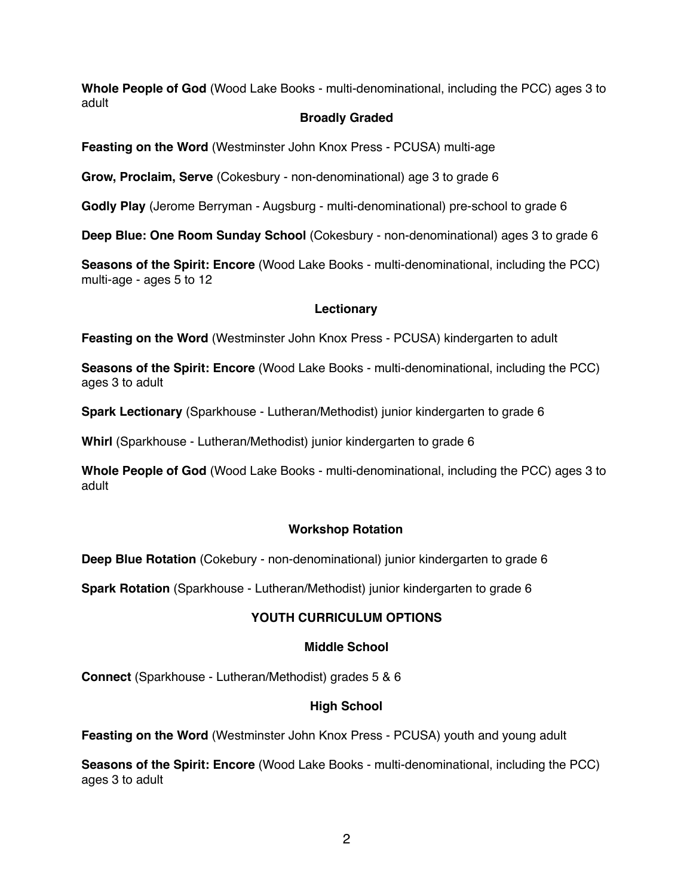**Whole People of God** (Wood Lake Books - multi-denominational, including the PCC) ages 3 to adult

### **Broadly Graded**

**Feasting on the Word** (Westminster John Knox Press - PCUSA) multi-age

**Grow, Proclaim, Serve** (Cokesbury - non-denominational) age 3 to grade 6

**Godly Play** (Jerome Berryman - Augsburg - multi-denominational) pre-school to grade 6

**Deep Blue: One Room Sunday School** (Cokesbury - non-denominational) ages 3 to grade 6

**Seasons of the Spirit: Encore** (Wood Lake Books - multi-denominational, including the PCC) multi-age - ages 5 to 12

## **Lectionary**

**Feasting on the Word** (Westminster John Knox Press - PCUSA) kindergarten to adult

**Seasons of the Spirit: Encore** (Wood Lake Books - multi-denominational, including the PCC) ages 3 to adult

**Spark Lectionary** (Sparkhouse - Lutheran/Methodist) junior kindergarten to grade 6

**Whirl** (Sparkhouse - Lutheran/Methodist) junior kindergarten to grade 6

**Whole People of God** (Wood Lake Books - multi-denominational, including the PCC) ages 3 to adult

# **Workshop Rotation**

**Deep Blue Rotation** (Cokebury - non-denominational) junior kindergarten to grade 6

**Spark Rotation** (Sparkhouse - Lutheran/Methodist) junior kindergarten to grade 6

# **YOUTH CURRICULUM OPTIONS**

### **Middle School**

**Connect** (Sparkhouse - Lutheran/Methodist) grades 5 & 6

### **High School**

**Feasting on the Word** (Westminster John Knox Press - PCUSA) youth and young adult

**Seasons of the Spirit: Encore** (Wood Lake Books - multi-denominational, including the PCC) ages 3 to adult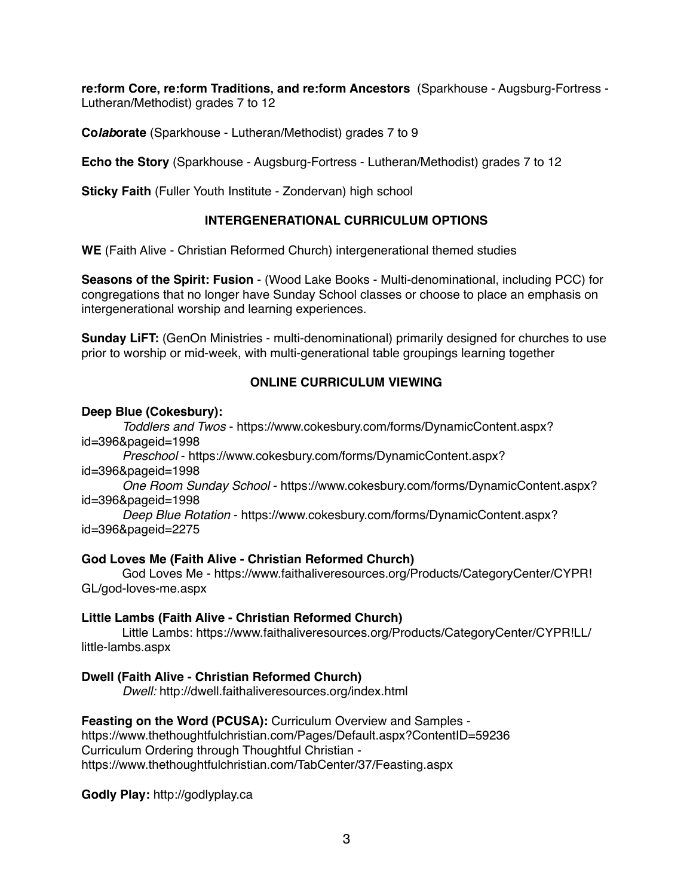**re:form Core, re:form Traditions, and re:form Ancestors** (Sparkhouse - Augsburg-Fortress - Lutheran/Methodist) grades 7 to 12

**Co***lab***orate** (Sparkhouse - Lutheran/Methodist) grades 7 to 9

**Echo the Story** (Sparkhouse - Augsburg-Fortress - Lutheran/Methodist) grades 7 to 12

**Sticky Faith** (Fuller Youth Institute - Zondervan) high school

## **INTERGENERATIONAL CURRICULUM OPTIONS**

**WE** (Faith Alive - Christian Reformed Church) intergenerational themed studies

**Seasons of the Spirit: Fusion** - (Wood Lake Books - Multi-denominational, including PCC) for congregations that no longer have Sunday School classes or choose to place an emphasis on intergenerational worship and learning experiences.

**Sunday LiFT:** (GenOn Ministries - multi-denominational) primarily designed for churches to use prior to worship or mid-week, with multi-generational table groupings learning together

## **ONLINE CURRICULUM VIEWING**

#### **Deep Blue (Cokesbury):**

*Toddlers and Twos* [- https://www.cokesbury.com/forms/DynamicContent.aspx?](https://www.cokesbury.com/forms/DynamicContent.aspx?id=396&pageid=1998) id=396&pageid=1998

*Preschool* - https://www.cokesbury.com/forms/DynamicContent.aspx? id=396&pageid=1998

*One Room Sunday School* - https://www.cokesbury.com/forms/DynamicContent.aspx? id=396&pageid=1998

*Deep Blue Rotation* - https://www.cokesbury.com/forms/DynamicContent.aspx? id=396&pageid=2275

### **God Loves Me (Faith Alive - Christian Reformed Church)**

God Loves Me -<https://www.faithaliveresources.org/Products/CategoryCenter/CYPR>! GL/god-loves-me.aspx

### **Little Lambs (Faith Alive - Christian Reformed Church)**

Little Lambs: https://www.faithaliveresources.org/Products/CategoryCenter/CYPR!LL/ little-lambs.aspx

### **Dwell (Faith Alive - Christian Reformed Church)**

*Dwell:* http://dwell.faithaliveresources.org/index.html

**Feasting on the Word (PCUSA):** Curriculum Overview and Samples -

https://www.thethoughtfulchristian.com/Pages/Default.aspx?ContentID=59236 Curriculum Ordering through Thoughtful Christian https://www.thethoughtfulchristian.com/TabCenter/37/Feasting.aspx

**Godly Play:** http://godlyplay.ca